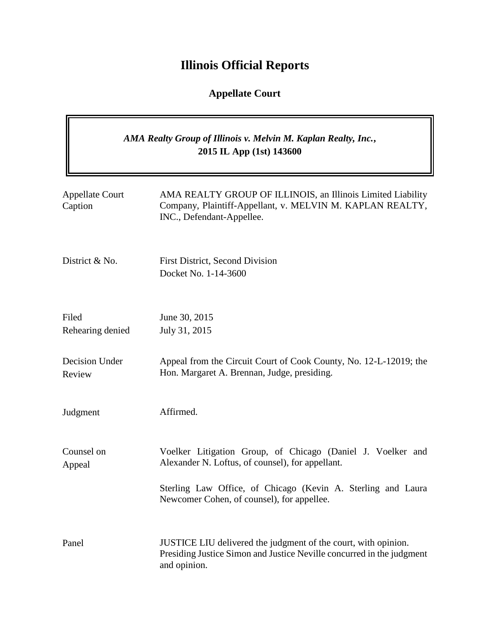# **Illinois Official Reports**

## **Appellate Court**

## *AMA Realty Group of Illinois v. Melvin M. Kaplan Realty, Inc.***, 2015 IL App (1st) 143600**

| <b>Appellate Court</b><br>Caption | AMA REALTY GROUP OF ILLINOIS, an Illinois Limited Liability<br>Company, Plaintiff-Appellant, v. MELVIN M. KAPLAN REALTY,<br>INC., Defendant-Appellee.   |
|-----------------------------------|---------------------------------------------------------------------------------------------------------------------------------------------------------|
| District & No.                    | <b>First District, Second Division</b><br>Docket No. 1-14-3600                                                                                          |
| Filed<br>Rehearing denied         | June 30, 2015<br>July 31, 2015                                                                                                                          |
| Decision Under<br>Review          | Appeal from the Circuit Court of Cook County, No. 12-L-12019; the<br>Hon. Margaret A. Brennan, Judge, presiding.                                        |
| Judgment                          | Affirmed.                                                                                                                                               |
| Counsel on<br>Appeal              | Voelker Litigation Group, of Chicago (Daniel J. Voelker and<br>Alexander N. Loftus, of counsel), for appellant.                                         |
|                                   | Sterling Law Office, of Chicago (Kevin A. Sterling and Laura<br>Newcomer Cohen, of counsel), for appellee.                                              |
| Panel                             | JUSTICE LIU delivered the judgment of the court, with opinion.<br>Presiding Justice Simon and Justice Neville concurred in the judgment<br>and opinion. |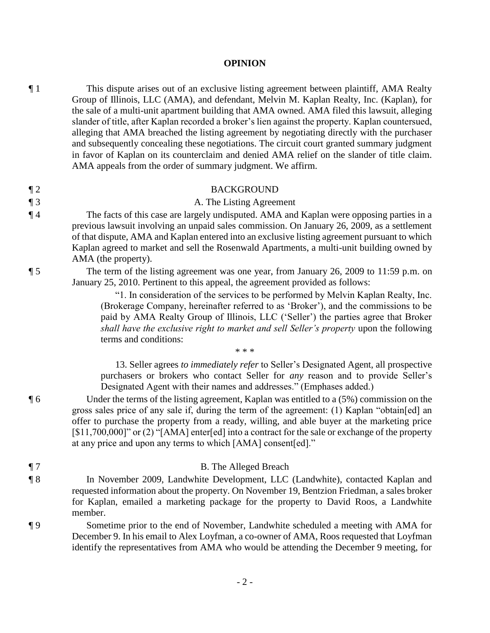#### **OPINION**

¶ 1 This dispute arises out of an exclusive listing agreement between plaintiff, AMA Realty Group of Illinois, LLC (AMA), and defendant, Melvin M. Kaplan Realty, Inc. (Kaplan), for the sale of a multi-unit apartment building that AMA owned. AMA filed this lawsuit, alleging slander of title, after Kaplan recorded a broker's lien against the property. Kaplan countersued, alleging that AMA breached the listing agreement by negotiating directly with the purchaser and subsequently concealing these negotiations. The circuit court granted summary judgment in favor of Kaplan on its counterclaim and denied AMA relief on the slander of title claim. AMA appeals from the order of summary judgment. We affirm.

### ¶ 2 BACKGROUND

#### ¶ 3 A. The Listing Agreement

¶ 4 The facts of this case are largely undisputed. AMA and Kaplan were opposing parties in a previous lawsuit involving an unpaid sales commission. On January 26, 2009, as a settlement of that dispute, AMA and Kaplan entered into an exclusive listing agreement pursuant to which Kaplan agreed to market and sell the Rosenwald Apartments, a multi-unit building owned by AMA (the property).

¶ 5 The term of the listing agreement was one year, from January 26, 2009 to 11:59 p.m. on January 25, 2010. Pertinent to this appeal, the agreement provided as follows:

> "1. In consideration of the services to be performed by Melvin Kaplan Realty, Inc. (Brokerage Company, hereinafter referred to as 'Broker'), and the commissions to be paid by AMA Realty Group of Illinois, LLC ('Seller') the parties agree that Broker *shall have the exclusive right to market and sell Seller's property* upon the following terms and conditions:

> 13. Seller agrees *to immediately refer* to Seller's Designated Agent, all prospective purchasers or brokers who contact Seller for *any* reason and to provide Seller's Designated Agent with their names and addresses." (Emphases added.)

¶ 6 Under the terms of the listing agreement, Kaplan was entitled to a (5%) commission on the gross sales price of any sale if, during the term of the agreement: (1) Kaplan "obtain[ed] an offer to purchase the property from a ready, willing, and able buyer at the marketing price [\$11,700,000]" or (2) "[AMA] enter[ed] into a contract for the sale or exchange of the property at any price and upon any terms to which [AMA] consent[ed]."

¶ 7 B. The Alleged Breach

 $* * *$ 

- ¶ 8 In November 2009, Landwhite Development, LLC (Landwhite), contacted Kaplan and requested information about the property. On November 19, Bentzion Friedman, a sales broker for Kaplan, emailed a marketing package for the property to David Roos, a Landwhite member.
- ¶ 9 Sometime prior to the end of November, Landwhite scheduled a meeting with AMA for December 9. In his email to Alex Loyfman, a co-owner of AMA, Roos requested that Loyfman identify the representatives from AMA who would be attending the December 9 meeting, for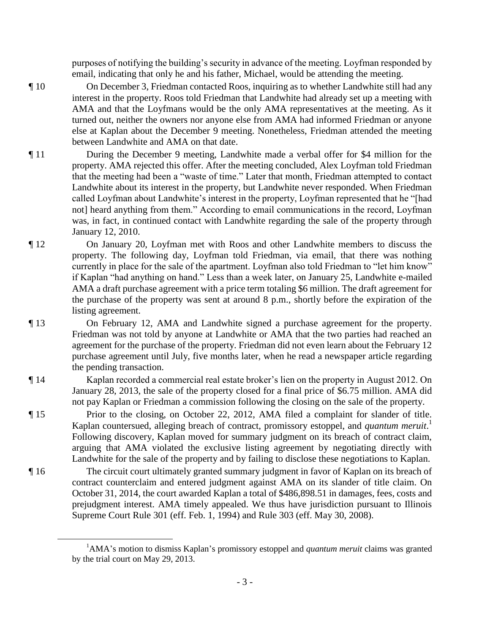purposes of notifying the building's security in advance of the meeting. Loyfman responded by email, indicating that only he and his father, Michael, would be attending the meeting.

- ¶ 10 On December 3, Friedman contacted Roos, inquiring as to whether Landwhite still had any interest in the property. Roos told Friedman that Landwhite had already set up a meeting with AMA and that the Loyfmans would be the only AMA representatives at the meeting. As it turned out, neither the owners nor anyone else from AMA had informed Friedman or anyone else at Kaplan about the December 9 meeting. Nonetheless, Friedman attended the meeting between Landwhite and AMA on that date.
- ¶ 11 During the December 9 meeting, Landwhite made a verbal offer for \$4 million for the property. AMA rejected this offer. After the meeting concluded, Alex Loyfman told Friedman that the meeting had been a "waste of time." Later that month, Friedman attempted to contact Landwhite about its interest in the property, but Landwhite never responded. When Friedman called Loyfman about Landwhite's interest in the property, Loyfman represented that he "[had not] heard anything from them." According to email communications in the record, Loyfman was, in fact, in continued contact with Landwhite regarding the sale of the property through January 12, 2010.
- ¶ 12 On January 20, Loyfman met with Roos and other Landwhite members to discuss the property. The following day, Loyfman told Friedman, via email, that there was nothing currently in place for the sale of the apartment. Loyfman also told Friedman to "let him know" if Kaplan "had anything on hand." Less than a week later, on January 25, Landwhite e-mailed AMA a draft purchase agreement with a price term totaling \$6 million. The draft agreement for the purchase of the property was sent at around 8 p.m., shortly before the expiration of the listing agreement.
- ¶ 13 On February 12, AMA and Landwhite signed a purchase agreement for the property. Friedman was not told by anyone at Landwhite or AMA that the two parties had reached an agreement for the purchase of the property. Friedman did not even learn about the February 12 purchase agreement until July, five months later, when he read a newspaper article regarding the pending transaction.
- ¶ 14 Kaplan recorded a commercial real estate broker's lien on the property in August 2012. On January 28, 2013, the sale of the property closed for a final price of \$6.75 million. AMA did not pay Kaplan or Friedman a commission following the closing on the sale of the property.
- ¶ 15 Prior to the closing, on October 22, 2012, AMA filed a complaint for slander of title. Kaplan countersued, alleging breach of contract, promissory estoppel, and *quantum meruit*. 1 Following discovery, Kaplan moved for summary judgment on its breach of contract claim, arguing that AMA violated the exclusive listing agreement by negotiating directly with Landwhite for the sale of the property and by failing to disclose these negotiations to Kaplan.
- ¶ 16 The circuit court ultimately granted summary judgment in favor of Kaplan on its breach of contract counterclaim and entered judgment against AMA on its slander of title claim. On October 31, 2014, the court awarded Kaplan a total of \$486,898.51 in damages, fees, costs and prejudgment interest. AMA timely appealed. We thus have jurisdiction pursuant to Illinois Supreme Court Rule 301 (eff. Feb. 1, 1994) and Rule 303 (eff. May 30, 2008).

 $\overline{a}$ 

- 3 -

<sup>1</sup>AMA's motion to dismiss Kaplan's promissory estoppel and *quantum meruit* claims was granted by the trial court on May 29, 2013.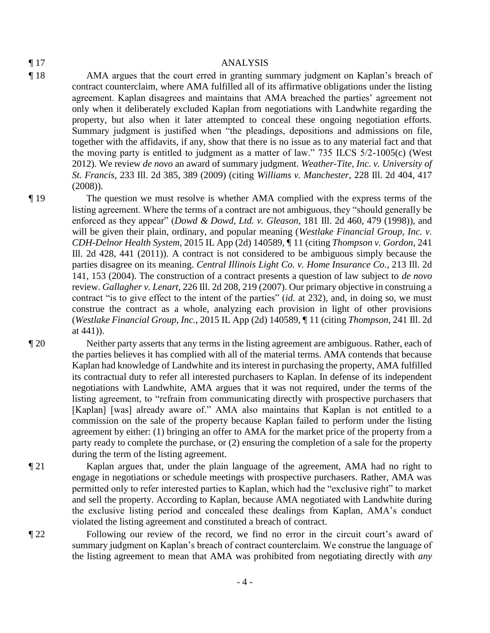#### ¶ 17 ANALYSIS

- ¶ 18 AMA argues that the court erred in granting summary judgment on Kaplan's breach of contract counterclaim, where AMA fulfilled all of its affirmative obligations under the listing agreement. Kaplan disagrees and maintains that AMA breached the parties' agreement not only when it deliberately excluded Kaplan from negotiations with Landwhite regarding the property, but also when it later attempted to conceal these ongoing negotiation efforts. Summary judgment is justified when "the pleadings, depositions and admissions on file, together with the affidavits, if any, show that there is no issue as to any material fact and that the moving party is entitled to judgment as a matter of law." 735 ILCS 5/2-1005(c) (West 2012). We review *de novo* an award of summary judgment. *Weather-Tite, Inc. v. University of St. Francis*, 233 Ill. 2d 385, 389 (2009) (citing *Williams v. Manchester*, 228 Ill. 2d 404, 417 (2008)).
- ¶ 19 The question we must resolve is whether AMA complied with the express terms of the listing agreement. Where the terms of a contract are not ambiguous, they "should generally be enforced as they appear" (*Dowd & Dowd, Ltd. v. Gleason*, 181 Ill. 2d 460, 479 (1998)), and will be given their plain, ordinary, and popular meaning (*Westlake Financial Group, Inc. v. CDH-Delnor Health System*, 2015 IL App (2d) 140589, ¶ 11 (citing *Thompson v. Gordon*, 241 Ill. 2d 428, 441 (2011)). A contract is not considered to be ambiguous simply because the parties disagree on its meaning. *Central Illinois Light Co. v. Home Insurance Co.*, 213 Ill. 2d 141, 153 (2004). The construction of a contract presents a question of law subject to *de novo*  review. *Gallagher v. Lenart*, 226 Ill. 2d 208, 219 (2007). Our primary objective in construing a contract "is to give effect to the intent of the parties" (*id.* at 232), and, in doing so, we must construe the contract as a whole, analyzing each provision in light of other provisions (*Westlake Financial Group, Inc.*, 2015 IL App (2d) 140589, ¶ 11 (citing *Thompson*, 241 Ill. 2d at 441)).

¶ 20 Neither party asserts that any terms in the listing agreement are ambiguous. Rather, each of the parties believes it has complied with all of the material terms. AMA contends that because Kaplan had knowledge of Landwhite and its interest in purchasing the property, AMA fulfilled its contractual duty to refer all interested purchasers to Kaplan. In defense of its independent negotiations with Landwhite, AMA argues that it was not required, under the terms of the listing agreement, to "refrain from communicating directly with prospective purchasers that [Kaplan] [was] already aware of." AMA also maintains that Kaplan is not entitled to a commission on the sale of the property because Kaplan failed to perform under the listing agreement by either: (1) bringing an offer to AMA for the market price of the property from a party ready to complete the purchase, or (2) ensuring the completion of a sale for the property during the term of the listing agreement.

- ¶ 21 Kaplan argues that, under the plain language of the agreement, AMA had no right to engage in negotiations or schedule meetings with prospective purchasers. Rather, AMA was permitted only to refer interested parties to Kaplan, which had the "exclusive right" to market and sell the property. According to Kaplan, because AMA negotiated with Landwhite during the exclusive listing period and concealed these dealings from Kaplan, AMA's conduct violated the listing agreement and constituted a breach of contract.
- ¶ 22 Following our review of the record, we find no error in the circuit court's award of summary judgment on Kaplan's breach of contract counterclaim. We construe the language of the listing agreement to mean that AMA was prohibited from negotiating directly with *any*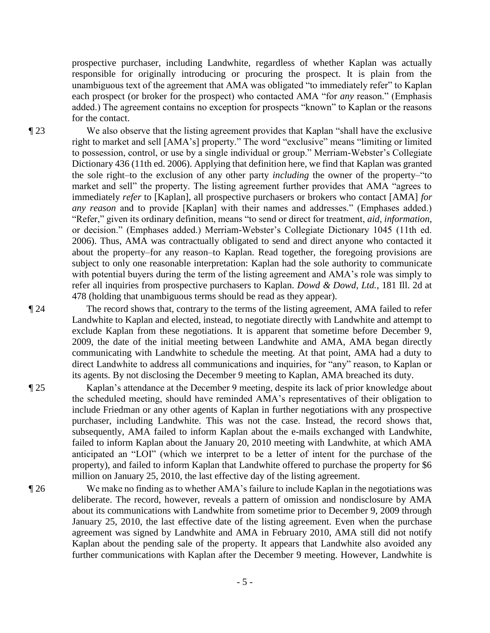prospective purchaser, including Landwhite, regardless of whether Kaplan was actually responsible for originally introducing or procuring the prospect. It is plain from the unambiguous text of the agreement that AMA was obligated "to immediately refer" to Kaplan each prospect (or broker for the prospect) who contacted AMA "for *any* reason." (Emphasis added.) The agreement contains no exception for prospects "known" to Kaplan or the reasons for the contact.

¶ 23 We also observe that the listing agreement provides that Kaplan "shall have the exclusive right to market and sell [AMA's] property." The word "exclusive" means "limiting or limited to possession, control, or use by a single individual or group." Merriam-Webster's Collegiate Dictionary 436 (11th ed. 2006). Applying that definition here, we find that Kaplan was granted the sole right–to the exclusion of any other party *including* the owner of the property–"to market and sell" the property. The listing agreement further provides that AMA "agrees to immediately *refer* to [Kaplan], all prospective purchasers or brokers who contact [AMA] *for any reason* and to provide [Kaplan] with their names and addresses." (Emphases added.) "Refer," given its ordinary definition, means "to send or direct for treatment, *aid*, *information*, or decision." (Emphases added.) Merriam-Webster's Collegiate Dictionary 1045 (11th ed. 2006). Thus, AMA was contractually obligated to send and direct anyone who contacted it about the property–for any reason–to Kaplan. Read together, the foregoing provisions are subject to only one reasonable interpretation: Kaplan had the sole authority to communicate with potential buyers during the term of the listing agreement and AMA's role was simply to refer all inquiries from prospective purchasers to Kaplan. *Dowd & Dowd, Ltd.*, 181 Ill. 2d at 478 (holding that unambiguous terms should be read as they appear).

¶ 24 The record shows that, contrary to the terms of the listing agreement, AMA failed to refer Landwhite to Kaplan and elected, instead, to negotiate directly with Landwhite and attempt to exclude Kaplan from these negotiations. It is apparent that sometime before December 9, 2009, the date of the initial meeting between Landwhite and AMA, AMA began directly communicating with Landwhite to schedule the meeting. At that point, AMA had a duty to direct Landwhite to address all communications and inquiries, for "any" reason, to Kaplan or its agents. By not disclosing the December 9 meeting to Kaplan, AMA breached its duty.

- ¶ 25 Kaplan's attendance at the December 9 meeting, despite its lack of prior knowledge about the scheduled meeting, should have reminded AMA's representatives of their obligation to include Friedman or any other agents of Kaplan in further negotiations with any prospective purchaser, including Landwhite. This was not the case. Instead, the record shows that, subsequently, AMA failed to inform Kaplan about the e-mails exchanged with Landwhite, failed to inform Kaplan about the January 20, 2010 meeting with Landwhite, at which AMA anticipated an "LOI" (which we interpret to be a letter of intent for the purchase of the property), and failed to inform Kaplan that Landwhite offered to purchase the property for \$6 million on January 25, 2010, the last effective day of the listing agreement.
- ¶ 26 We make no finding as to whether AMA's failure to include Kaplan in the negotiations was deliberate. The record, however, reveals a pattern of omission and nondisclosure by AMA about its communications with Landwhite from sometime prior to December 9, 2009 through January 25, 2010, the last effective date of the listing agreement. Even when the purchase agreement was signed by Landwhite and AMA in February 2010, AMA still did not notify Kaplan about the pending sale of the property. It appears that Landwhite also avoided any further communications with Kaplan after the December 9 meeting. However, Landwhite is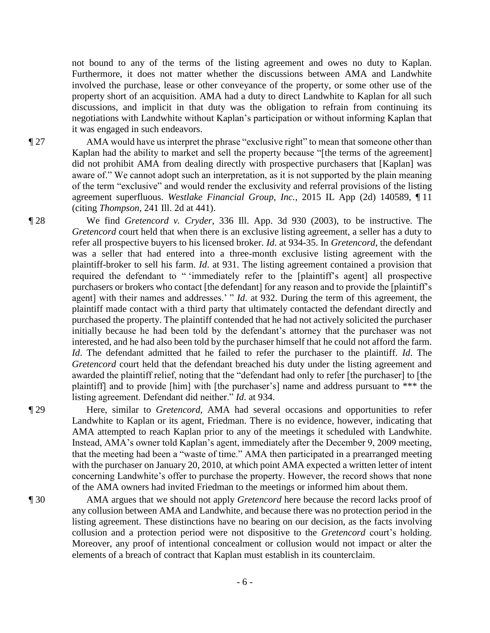not bound to any of the terms of the listing agreement and owes no duty to Kaplan. Furthermore, it does not matter whether the discussions between AMA and Landwhite involved the purchase, lease or other conveyance of the property, or some other use of the property short of an acquisition. AMA had a duty to direct Landwhite to Kaplan for all such discussions, and implicit in that duty was the obligation to refrain from continuing its negotiations with Landwhite without Kaplan's participation or without informing Kaplan that it was engaged in such endeavors.

¶ 27 AMA would have us interpret the phrase "exclusive right" to mean that someone other than Kaplan had the ability to market and sell the property because "[the terms of the agreement] did not prohibit AMA from dealing directly with prospective purchasers that [Kaplan] was aware of." We cannot adopt such an interpretation, as it is not supported by the plain meaning of the term "exclusive" and would render the exclusivity and referral provisions of the listing agreement superfluous. *Westlake Financial Group, Inc.*, 2015 IL App (2d) 140589, ¶ 11 (citing *Thompson*, 241 Ill. 2d at 441).

¶ 28 We find *Gretencord v. Cryder*, 336 Ill. App. 3d 930 (2003), to be instructive. The *Gretencord* court held that when there is an exclusive listing agreement, a seller has a duty to refer all prospective buyers to his licensed broker. *Id*. at 934-35. In *Gretencord*, the defendant was a seller that had entered into a three-month exclusive listing agreement with the plaintiff-broker to sell his farm. *Id*. at 931. The listing agreement contained a provision that required the defendant to " 'immediately refer to the [plaintiff's agent] all prospective purchasers or brokers who contact [the defendant] for any reason and to provide the [plaintiff's agent] with their names and addresses.' " *Id.* at 932. During the term of this agreement, the plaintiff made contact with a third party that ultimately contacted the defendant directly and purchased the property. The plaintiff contended that he had not actively solicited the purchaser initially because he had been told by the defendant's attorney that the purchaser was not interested, and he had also been told by the purchaser himself that he could not afford the farm. *Id*. The defendant admitted that he failed to refer the purchaser to the plaintiff. *Id*. The *Gretencord* court held that the defendant breached his duty under the listing agreement and awarded the plaintiff relief, noting that the "defendant had only to refer [the purchaser] to [the plaintiff] and to provide [him] with [the purchaser's] name and address pursuant to \*\*\* the listing agreement. Defendant did neither." *Id*. at 934.

¶ 29 Here, similar to *Gretencord*, AMA had several occasions and opportunities to refer Landwhite to Kaplan or its agent, Friedman. There is no evidence, however, indicating that AMA attempted to reach Kaplan prior to any of the meetings it scheduled with Landwhite. Instead, AMA's owner told Kaplan's agent, immediately after the December 9, 2009 meeting, that the meeting had been a "waste of time." AMA then participated in a prearranged meeting with the purchaser on January 20, 2010, at which point AMA expected a written letter of intent concerning Landwhite's offer to purchase the property. However, the record shows that none of the AMA owners had invited Friedman to the meetings or informed him about them.

¶ 30 AMA argues that we should not apply *Gretencord* here because the record lacks proof of any collusion between AMA and Landwhite, and because there was no protection period in the listing agreement. These distinctions have no bearing on our decision, as the facts involving collusion and a protection period were not dispositive to the *Gretencord* court's holding. Moreover, any proof of intentional concealment or collusion would not impact or alter the elements of a breach of contract that Kaplan must establish in its counterclaim.